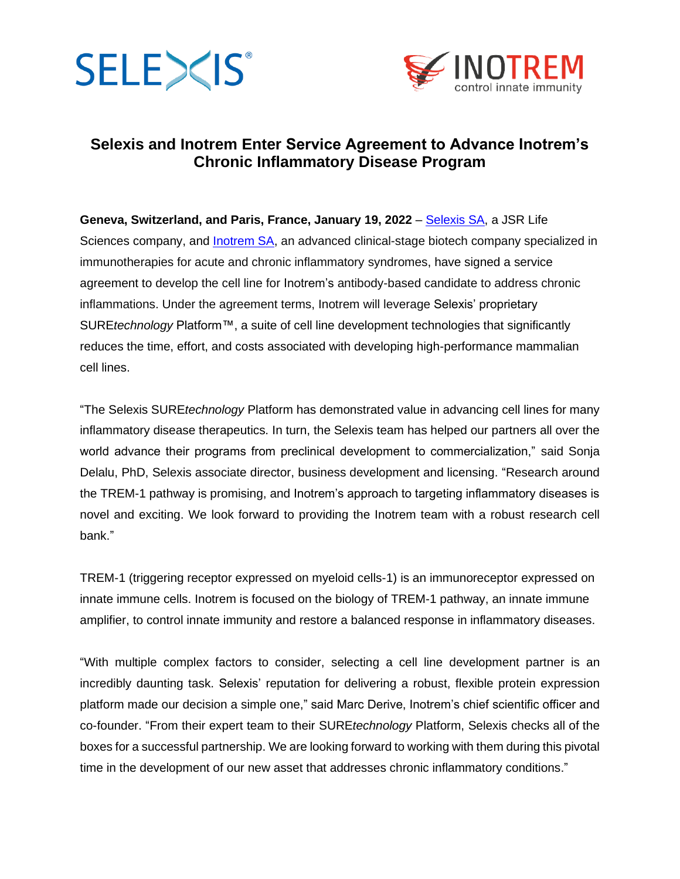



# **Selexis and Inotrem Enter Service Agreement to Advance Inotrem's Chronic Inflammatory Disease Program**

**Geneva, Switzerland, and Paris, France, January 19, 2022** – [Selexis SA,](http://www.selexis.com/) a JSR Life Sciences company, and [Inotrem SA,](https://www.inotrem.com/) an advanced clinical-stage biotech company specialized in immunotherapies for acute and chronic inflammatory syndromes, have signed a service agreement to develop the cell line for Inotrem's antibody-based candidate to address chronic inflammations. Under the agreement terms, Inotrem will leverage Selexis' proprietary SURE*technology* Platform™, a suite of cell line development technologies that significantly reduces the time, effort, and costs associated with developing high-performance mammalian cell lines.

"The Selexis SURE*technology* Platform has demonstrated value in advancing cell lines for many inflammatory disease therapeutics. In turn, the Selexis team has helped our partners all over the world advance their programs from preclinical development to commercialization," said Sonja Delalu, PhD, Selexis associate director, business development and licensing. "Research around the TREM-1 pathway is promising, and Inotrem's approach to targeting inflammatory diseases is novel and exciting. We look forward to providing the Inotrem team with a robust research cell bank."

TREM-1 (triggering receptor expressed on myeloid cells-1) is an immunoreceptor expressed on innate immune cells. Inotrem is focused on the biology of TREM-1 pathway, an innate immune amplifier, to control innate immunity and restore a balanced response in inflammatory diseases.

"With multiple complex factors to consider, selecting a cell line development partner is an incredibly daunting task. Selexis' reputation for delivering a robust, flexible protein expression platform made our decision a simple one," said Marc Derive, Inotrem's chief scientific officer and co-founder. "From their expert team to their SURE*technology* Platform, Selexis checks all of the boxes for a successful partnership. We are looking forward to working with them during this pivotal time in the development of our new asset that addresses chronic inflammatory conditions."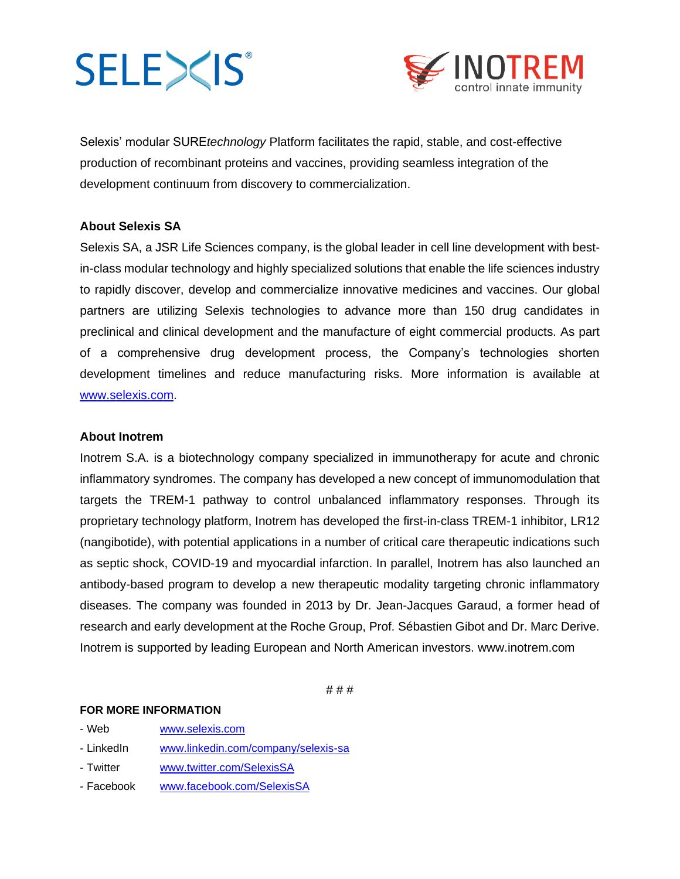# **SELE><IS®**



Selexis' modular SURE*technology* Platform facilitates the rapid, stable, and cost-effective production of recombinant proteins and vaccines, providing seamless integration of the development continuum from discovery to commercialization.

## **About Selexis SA**

Selexis SA, a JSR Life Sciences company, is the global leader in cell line development with bestin-class modular technology and highly specialized solutions that enable the life sciences industry to rapidly discover, develop and commercialize innovative medicines and vaccines. Our global partners are utilizing Selexis technologies to advance more than 150 drug candidates in preclinical and clinical development and the manufacture of eight commercial products. As part of a comprehensive drug development process, the Company's technologies shorten development timelines and reduce manufacturing risks. More information is available at [www.selexis.com.](http://www.selexis.com/)

#### **About Inotrem**

Inotrem S.A. is a biotechnology company specialized in immunotherapy for acute and chronic inflammatory syndromes. The company has developed a new concept of immunomodulation that targets the TREM-1 pathway to control unbalanced inflammatory responses. Through its proprietary technology platform, Inotrem has developed the first-in-class TREM-1 inhibitor, LR12 (nangibotide), with potential applications in a number of critical care therapeutic indications such as septic shock, COVID-19 and myocardial infarction. In parallel, Inotrem has also launched an antibody-based program to develop a new therapeutic modality targeting chronic inflammatory diseases. The company was founded in 2013 by Dr. Jean-Jacques Garaud, a former head of research and early development at the Roche Group, Prof. Sébastien Gibot and Dr. Marc Derive. Inotrem is supported by leading European and North American investors. [www.inotrem.com](http://www.inotrem.com/)

# # #

#### **FOR MORE INFORMATION**

- Web [www.selexis.com](http://www.selexis.com/)
- LinkedIn [www.linkedin.com/company/selexis-sa](http://www.linkedin.com/company/selexis-sa)
- Twitter [www.twitter.com/SelexisSA](http://www.twitter.com/SelexisSA)
- Facebook [www.facebook.com/SelexisSA](http://www.facebook.com/SelexisSA)